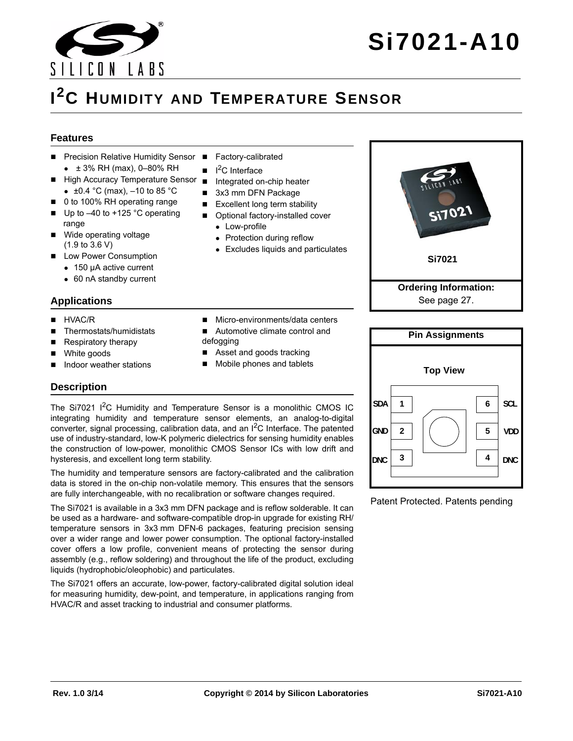

# **Si7021-A10**

# **I 2C HUMIDITY AND TEMPERATURE SENSOR**

#### **Features**

- Precision Relative Humidity Sensor Factory-calibrated  $\div$  ± 3% RH (max), 0-80% RH
- High Accuracy Temperature Sensor
	- $\bullet$  ±0.4 °C (max), -10 to 85 °C
- 0 to 100% RH operating range
- Up to –40 to +125 °C operating range
- Wide operating voltage (1.9 to 3.6 V)
- **Low Power Consumption** 
	- 150 µA active current
	- 60 nA standby current

#### **Applications**

- **HVAC/R**
- Thermostats/humidistats
- Respiratory therapy
- White goods
- Indoor weather stations
- 
- $\blacksquare$ <sup>2</sup>C Interface
- **Integrated on-chip heater**
- 3x3 mm DFN Package
- $\blacksquare$  Excellent long term stability
- Optional factory-installed cover

■ Micro-environments/data centers Automotive climate control and

 Asset and goods tracking Mobile phones and tablets

- Low-profile
- Protection during reflow
- Excludes liquids and particulates





Patent Protected. Patents pending

**Description**

The Si7021 I<sup>2</sup>C Humidity and Temperature Sensor is a monolithic CMOS IC integrating humidity and temperature sensor elements, an analog-to-digital converter, signal processing, calibration data, and an  $I^2C$  Interface. The patented use of industry-standard, low-K polymeric dielectrics for sensing humidity enables the construction of low-power, monolithic CMOS Sensor ICs with low drift and hysteresis, and excellent long term stability.

defogging

The humidity and temperature sensors are factory-calibrated and the calibration data is stored in the on-chip non-volatile memory. This ensures that the sensors are fully interchangeable, with no recalibration or software changes required.

The Si7021 is available in a 3x3 mm DFN package and is reflow solderable. It can be used as a hardware- and software-compatible drop-in upgrade for existing RH/ temperature sensors in 3x3 mm DFN-6 packages, featuring precision sensing over a wider range and lower power consumption. The optional factory-installed cover offers a low profile, convenient means of protecting the sensor during assembly (e.g., reflow soldering) and throughout the life of the product, excluding liquids (hydrophobic/oleophobic) and particulates.

The Si7021 offers an accurate, low-power, factory-calibrated digital solution ideal for measuring humidity, dew-point, and temperature, in applications ranging from HVAC/R and asset tracking to industrial and consumer platforms.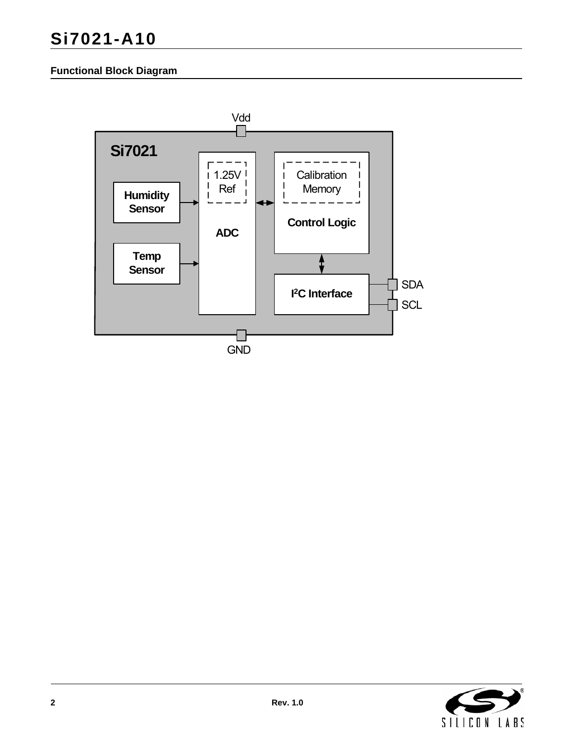## **Si7021-A10**

### **Functional Block Diagram**



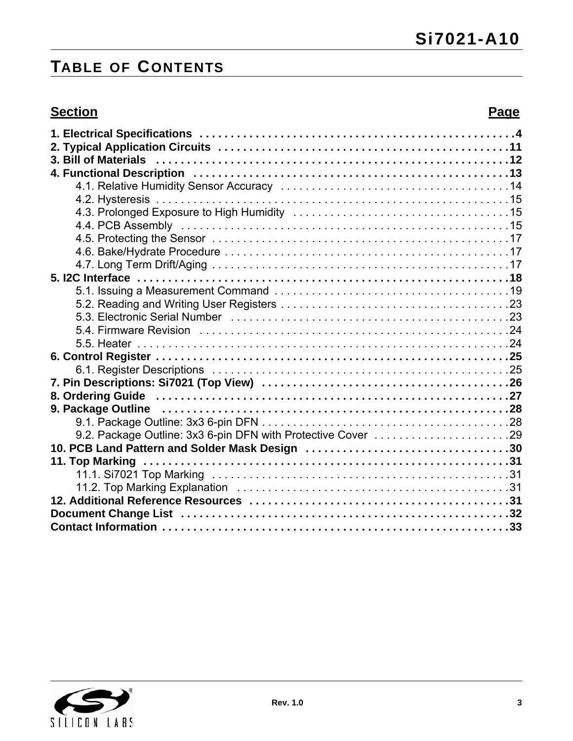# **TABLE OF CONTENTS**

## **Section Page**

| 9.2. Package Outline: 3x3 6-pin DFN with Protective Cover 29 |  |
|--------------------------------------------------------------|--|
|                                                              |  |
|                                                              |  |
|                                                              |  |
|                                                              |  |
|                                                              |  |
|                                                              |  |
|                                                              |  |
|                                                              |  |

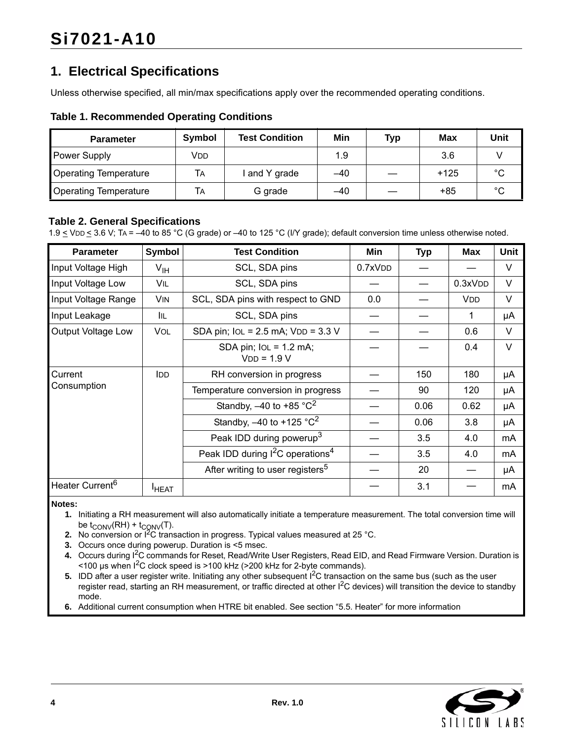## <span id="page-3-0"></span>**1. Electrical Specifications**

Unless otherwise specified, all min/max specifications apply over the recommended operating conditions.

#### **Table 1. Recommended Operating Conditions**

| <b>Parameter</b>             | <b>Symbol</b> | <b>Test Condition</b> | Min   | Typ | Max    | Unit   |
|------------------------------|---------------|-----------------------|-------|-----|--------|--------|
| <b>Power Supply</b>          | Vdd           |                       | 1.9   |     | 3.6    |        |
| <b>Operating Temperature</b> | TА            | and Y grade           | $-40$ |     | $+125$ | $\sim$ |
| <b>Operating Temperature</b> | TА            | G grade               | $-40$ |     | +85    | $\sim$ |

#### **Table 2. General Specifications**

1.9  $\le$  VDD  $\le$  3.6 V; TA = -40 to 85 °C (G grade) or -40 to 125 °C (I/Y grade); default conversion time unless otherwise noted.

| <b>Parameter</b>            | <b>Symbol</b>     | <b>Test Condition</b>                                  | Min     | <b>Typ</b> | <b>Max</b> | <b>Unit</b> |
|-----------------------------|-------------------|--------------------------------------------------------|---------|------------|------------|-------------|
| Input Voltage High          | $V_{\text{IH}}$   | SCL, SDA pins                                          | 0.7xVDD |            |            | V           |
| Input Voltage Low           | VIL               | SCL, SDA pins                                          |         |            | 0.3xVDD    | $\vee$      |
| Input Voltage Range         | <b>VIN</b>        | SCL, SDA pins with respect to GND                      | 0.0     |            | <b>VDD</b> | V           |
| Input Leakage               | IIL.              | SCL, SDA pins                                          |         |            | 1          | μA          |
| Output Voltage Low          | VOL               | SDA pin; $IoL = 2.5$ mA; $VDD = 3.3$ V                 |         |            | 0.6        | V           |
|                             |                   | SDA pin; $IOL = 1.2$ mA;<br>$VDD = 1.9 V$              |         |            | 0.4        | $\vee$      |
| Current                     | IDD               | RH conversion in progress                              |         | 150        | 180        | μA          |
| Consumption                 |                   | Temperature conversion in progress                     |         | 90         | 120        | μA          |
|                             |                   | Standby, $-40$ to +85 $^{\circ}$ C <sup>2</sup>        |         | 0.06       | 0.62       | μA          |
|                             |                   | Standby, $-40$ to $+125$ °C <sup>2</sup>               |         | 0.06       | 3.8        | μA          |
|                             |                   | Peak IDD during powerup <sup>3</sup>                   |         | 3.5        | 4.0        | mA          |
|                             |                   | Peak IDD during <sup>2</sup> C operations <sup>4</sup> |         | 3.5        | 4.0        | mA          |
|                             |                   | After writing to user registers <sup>5</sup>           |         | 20         |            | μA          |
| Heater Current <sup>6</sup> | <sup>I</sup> HEAT |                                                        |         | 3.1        |            | mA          |

<span id="page-3-4"></span>**Notes:**

- **1.** Initiating a RH measurement will also automatically initiate a temperature measurement. The total conversion time will be  $t_{\text{CONV}}(RH)$  +  $t_{\text{CONV}}(T)$ .
- <span id="page-3-1"></span>**2.** No conversion or I<sup>2</sup>C transaction in progress. Typical values measured at 25 °C.
- <span id="page-3-2"></span>**3.** Occurs once during powerup. Duration is <5 msec.
- <span id="page-3-3"></span>**4.** Occurs during I2C commands for Reset, Read/Write User Registers, Read EID, and Read Firmware Version. Duration is <100 µs when I2C clock speed is >100 kHz (>200 kHz for 2-byte commands).
- **5.** IDD after a user register write. Initiating any other subsequent I<sup>2</sup>C transaction on the same bus (such as the user register read, starting an RH measurement, or traffic directed at other I<sup>2</sup>C devices) will transition the device to standby mode.
- **6.** Additional current consumption when HTRE bit enabled. See section ["5.5. Heater" f](#page-23-1)or more information

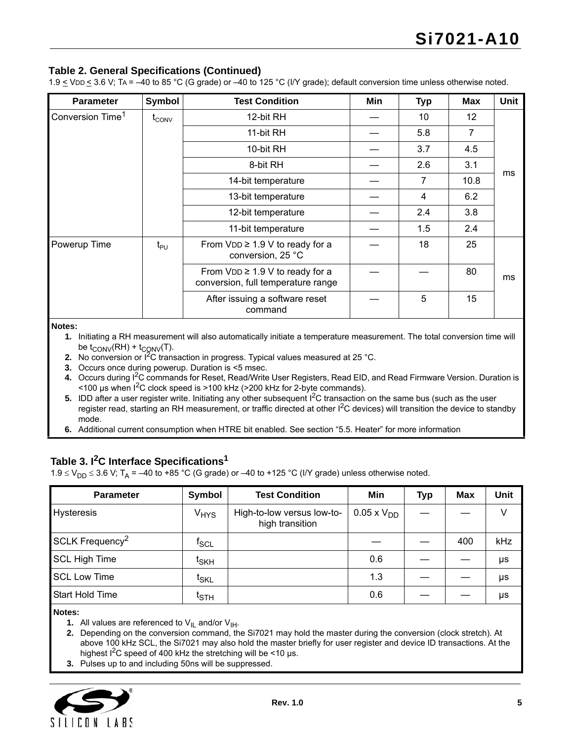#### **Table 2. General Specifications (Continued)**

1.9 < VDD < 3.6 V; TA = –40 to 85 °C (G grade) or –40 to 125 °C (I/Y grade); default conversion time unless otherwise noted.

| <b>Parameter</b>             | Symbol            | <b>Test Condition</b>                                                      | Min | <b>Typ</b> | <b>Max</b> | Unit |
|------------------------------|-------------------|----------------------------------------------------------------------------|-----|------------|------------|------|
| Conversion Time <sup>1</sup> | $t_{\text{CONV}}$ | 12-bit RH                                                                  |     | 10         | 12         |      |
|                              |                   | 11-bit RH                                                                  |     | 5.8        | 7          |      |
|                              |                   | 10-bit RH                                                                  |     | 3.7        | 4.5        |      |
|                              |                   | 8-bit RH                                                                   |     | 2.6        | 3.1        |      |
|                              |                   | 14-bit temperature                                                         |     | 7          | 10.8       | ms   |
|                              |                   | 13-bit temperature<br>4                                                    |     |            |            |      |
|                              |                   | 12-bit temperature                                                         |     | 2.4        | 3.8        |      |
|                              |                   | 11-bit temperature                                                         |     | 1.5        | 2.4        |      |
| Powerup Time                 | $t_{\text{PU}}$   | From $VDD \geq 1.9$ V to ready for a<br>conversion, 25 °C                  |     | 18         | 25         |      |
|                              |                   | From $VDD \geq 1.9$ V to ready for a<br>conversion, full temperature range |     |            | 80         | ms   |
|                              |                   | After issuing a software reset<br>command                                  |     | 5          | 15         |      |

**Notes:**

**1.** Initiating a RH measurement will also automatically initiate a temperature measurement. The total conversion time will be  $t_{\text{CONV}}(RH) + t_{\text{CONV}}(T)$ .

**2.** No conversion or I<sup>2</sup>C transaction in progress. Typical values measured at 25 °C.

- **3.** Occurs once during powerup. Duration is <5 msec.
- **4.** Occurs during I2C commands for Reset, Read/Write User Registers, Read EID, and Read Firmware Version. Duration is  $\le$  100 µs when I<sup>2</sup>C clock speed is  $>$  100 kHz ( $>$  200 kHz for 2-byte commands).
- **5.** IDD after a user register write. Initiating any other subsequent  $I^2C$  transaction on the same bus (such as the user register read, starting an RH measurement, or traffic directed at other I<sup>2</sup>C devices) will transition the device to standby mode.
- **6.** Additional current consumption when HTRE bit enabled. See section "5.5. Heater" for more information

### **Table 3. I2C Interface Specification[s1](#page-4-0)**

 $1.9 \le V_{DD} \le 3.6$  V; T<sub>A</sub> = –40 to +85 °C (G grade) or –40 to +125 °C (I/Y grade) unless otherwise noted.

| <b>Parameter</b>            | Symbol                 | <b>Test Condition</b>                         | Min               | <b>Typ</b> | Max | Unit |
|-----------------------------|------------------------|-----------------------------------------------|-------------------|------------|-----|------|
| <b>Hysteresis</b>           | <b>V<sub>HYS</sub></b> | High-to-low versus low-to-<br>high transition | $0.05 \times VDD$ |            |     | V    |
| SCLK Frequency <sup>2</sup> | $f_{SCL}$              |                                               |                   |            | 400 | kHz  |
| <b>SCL High Time</b>        | t <sub>SKH</sub>       |                                               | 0.6               |            |     | μs   |
| <b>SCL Low Time</b>         | t <sub>SKL</sub>       |                                               | 1.3               |            |     | μs   |
| <b>Start Hold Time</b>      | $t_{STH}$              |                                               | 0.6               |            |     | μs   |

<span id="page-4-0"></span>**Notes:**

**1.** All values are referenced to  $V_{\parallel L}$  and/or  $V_{\parallel H}$ .

<span id="page-4-1"></span>**2.** Depending on the conversion command, the Si7021 may hold the master during the conversion (clock stretch). At above 100 kHz SCL, the Si7021 may also hold the master briefly for user register and device ID transactions. At the highest  $I^2C$  speed of 400 kHz the stretching will be <10 µs.

<span id="page-4-2"></span>**3.** Pulses up to and including 50ns will be suppressed.

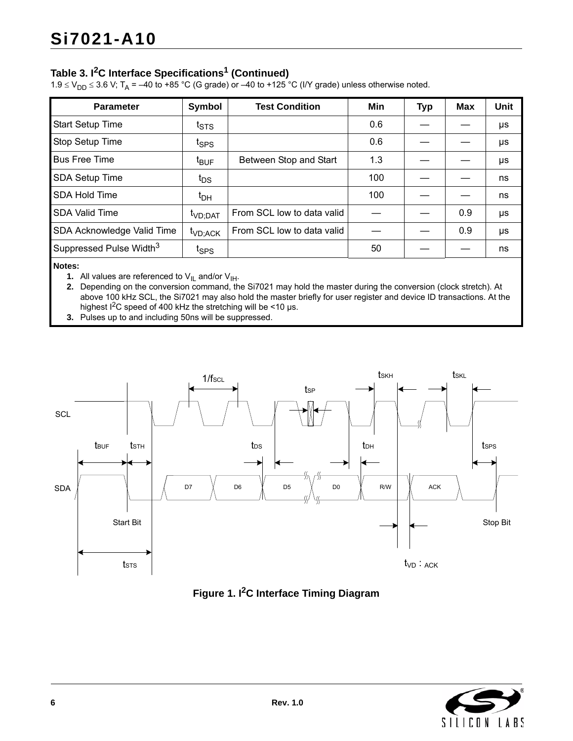## **Table 3. I2C Interface Specifications1 (Continued)**

1.9  $\leq$  V<sub>DD</sub>  $\leq$  3.6 V; T<sub>A</sub> = –40 to +85 °C (G grade) or –40 to +125 °C (I/Y grade) unless otherwise noted.

| <b>Parameter</b>                    | Symbol              | <b>Test Condition</b>      | Min | <b>Typ</b> | <b>Max</b> | <b>Unit</b> |
|-------------------------------------|---------------------|----------------------------|-----|------------|------------|-------------|
| <b>Start Setup Time</b>             | $t_{\text{STS}}$    |                            | 0.6 |            |            | μs          |
| <b>Stop Setup Time</b>              | t <sub>SPS</sub>    |                            | 0.6 |            |            | μs          |
| <b>Bus Free Time</b>                | t <sub>BUF</sub>    | Between Stop and Start     | 1.3 |            |            | μs          |
| <b>SDA Setup Time</b>               | $t_{DS}$            |                            | 100 |            |            | ns          |
| <b>SDA Hold Time</b>                | $t_{DH}$            |                            | 100 |            |            | ns          |
| <b>SDA Valid Time</b>               | t <sub>VD;DAT</sub> | From SCL low to data valid |     |            | 0.9        | μs          |
| SDA Acknowledge Valid Time          | t <sub>VD;ACK</sub> | From SCL low to data valid |     |            | 0.9        | μs          |
| Suppressed Pulse Width <sup>3</sup> | t <sub>SPS</sub>    |                            | 50  |            |            | ns          |

#### **Notes:**

**1.** All values are referenced to  $V_{\text{IL}}$  and/or  $V_{\text{IH}}$ .

**2.** Depending on the conversion command, the Si7021 may hold the master during the conversion (clock stretch). At above 100 kHz SCL, the Si7021 may also hold the master briefly for user register and device ID transactions. At the highest  $I^2C$  speed of 400 kHz the stretching will be <10 µs.

**3.** Pulses up to and including 50ns will be suppressed.





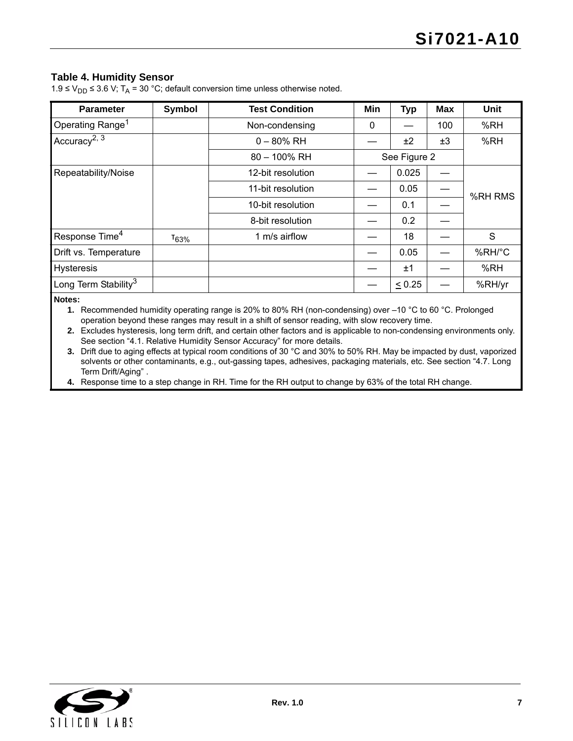#### <span id="page-6-1"></span>**Table 4. Humidity Sensor**

| <b>Parameter</b>                 | Symbol     | <b>Test Condition</b> | Min | <b>Typ</b>   | <b>Max</b> | Unit    |
|----------------------------------|------------|-----------------------|-----|--------------|------------|---------|
| Operating Range <sup>1</sup>     |            | Non-condensing        | 0   |              | 100        | %RH     |
| Accuracy <sup>2, 3</sup>         |            | $0 - 80\%$ RH         |     | ±2           | ±3         | %RH     |
|                                  |            | 80 - 100% RH          |     | See Figure 2 |            |         |
| Repeatability/Noise              |            | 12-bit resolution     |     | 0.025        |            |         |
|                                  |            | 11-bit resolution     |     | 0.05         |            | %RH RMS |
|                                  |            | 10-bit resolution     |     | 0.1          |            |         |
|                                  |            | 8-bit resolution      |     | 0.2          |            |         |
| Response Time <sup>4</sup>       | $T_{63\%}$ | 1 m/s airflow         |     | 18           |            | S       |
| Drift vs. Temperature            |            |                       |     | 0.05         |            | %RH/°C  |
| <b>Hysteresis</b>                |            |                       |     | ±1           |            | %RH     |
| Long Term Stability <sup>3</sup> |            |                       |     | $\leq 0.25$  |            | %RH/yr  |

<span id="page-6-0"></span>**Notes:**

**1.** Recommended humidity operating range is 20% to 80% RH (non-condensing) over –10 °C to 60 °C. Prolonged operation beyond these ranges may result in a shift of sensor reading, with slow recovery time.

**2.** Excludes hysteresis, long term drift, and certain other factors and is applicable to non-condensing environments only. See section ["4.1. Relative Humidity Sensor Accuracy"](#page-13-0) for more details.

**3.** Drift due to aging effects at typical room conditions of 30 °C and 30% to 50% RH. May be impacted by dust, vaporized solvents or other contaminants, e.g., out-gassing tapes, adhesives, packaging materials, etc. See section ["4.7. Long](#page-16-2)  [Term Drift/Aging"](#page-16-2) .

**4.** Response time to a step change in RH. Time for the RH output to change by 63% of the total RH change.

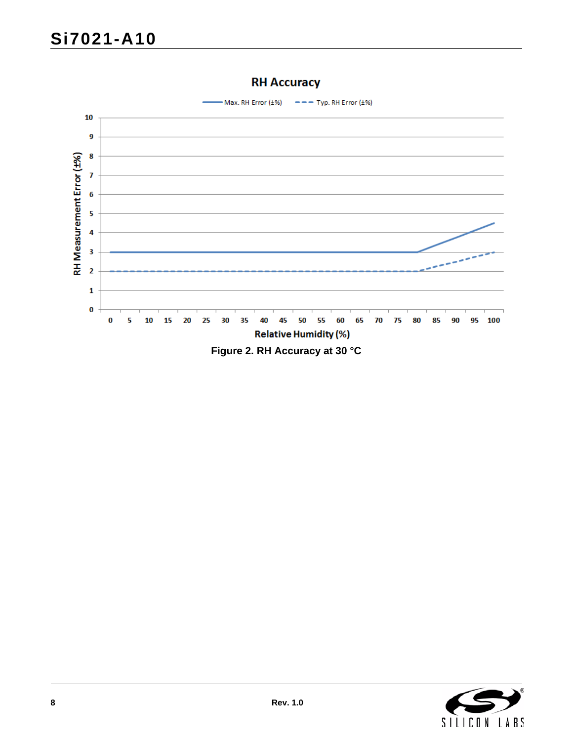<span id="page-7-0"></span>

## **RH Accuracy**

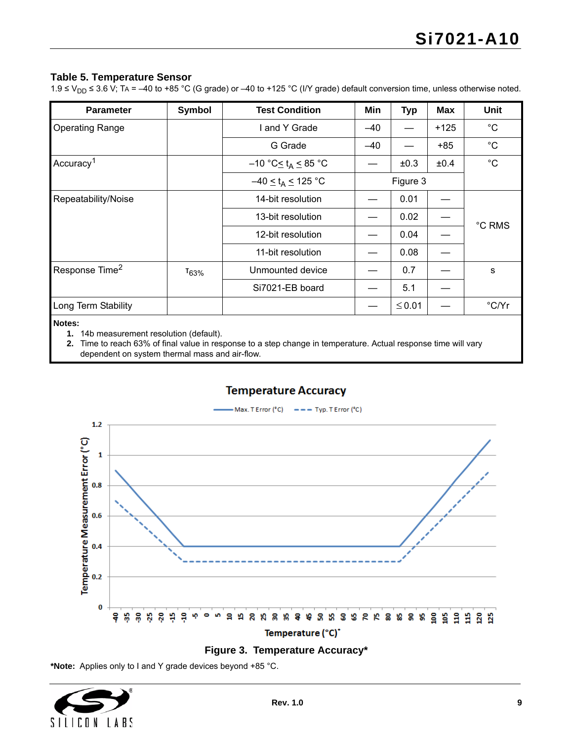#### <span id="page-8-3"></span>**Table 5. Temperature Sensor**

1.9 ≤ V<sub>DD</sub> ≤ 3.6 V; TA = –40 to +85 °C (G grade) or –40 to +125 °C (I/Y grade) default conversion time, unless otherwise noted.

| <b>Parameter</b>           | Symbol     | <b>Test Condition</b>                       | Min   | <b>Typ</b> | <b>Max</b> | <b>Unit</b>  |
|----------------------------|------------|---------------------------------------------|-------|------------|------------|--------------|
| <b>Operating Range</b>     |            | I and Y Grade                               | $-40$ |            | $+125$     | $^{\circ}C$  |
|                            |            | G Grade                                     | $-40$ |            | $+85$      | $^{\circ}$ C |
| Accuracy <sup>1</sup>      |            | $-10$ °C $\leq$ t <sub>A</sub> $\leq$ 85 °C |       | ±0.3       | ±0.4       | $^{\circ}C$  |
|                            |            | $-40 \le t_A \le 125$ °C                    |       | Figure 3   |            |              |
| Repeatability/Noise        |            | 14-bit resolution                           |       | 0.01       |            |              |
|                            |            | 13-bit resolution                           |       | 0.02       |            |              |
|                            |            | 12-bit resolution                           |       | 0.04       |            | °C RMS       |
|                            |            | 11-bit resolution                           |       | 0.08       |            |              |
| Response Time <sup>2</sup> | $T_{63\%}$ | Unmounted device                            |       | 0.7        |            | s            |
|                            |            | Si7021-EB board                             |       | 5.1        |            |              |
| Long Term Stability        |            |                                             |       | $≤ 0.01$   |            | °C/Yr        |
| Notes:                     |            |                                             |       |            |            |              |

<span id="page-8-0"></span>**1.** 14b measurement resolution (default).

<span id="page-8-2"></span>**2.** Time to reach 63% of final value in response to a step change in temperature. Actual response time will vary dependent on system thermal mass and air-flow.

### **Temperature Accuracy**

Max. T Error (°C)  $\qquad \qquad \bullet \bullet \bullet$  Typ. T Error (°C)





<span id="page-8-1"></span>**\*Note:** Applies only to I and Y grade devices beyond +85 °C.

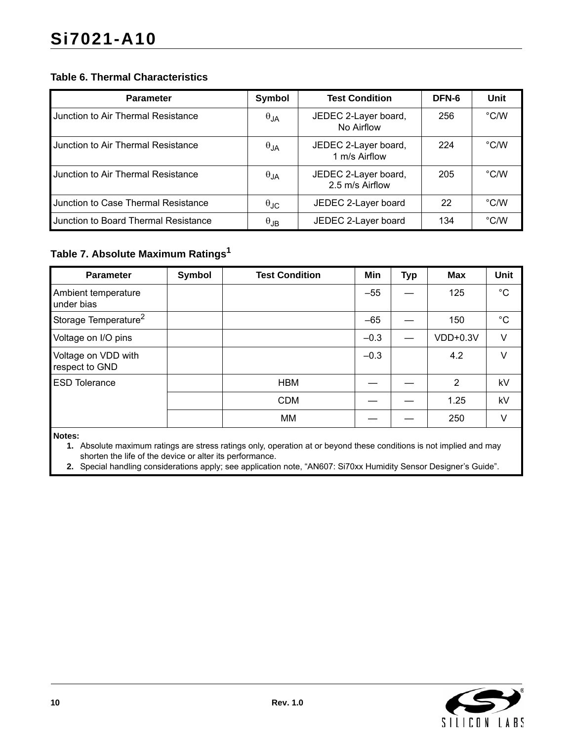### **Table 6. Thermal Characteristics**

| <b>Parameter</b>                     | Symbol               | <b>Test Condition</b>                   | DFN-6 | Unit          |
|--------------------------------------|----------------------|-----------------------------------------|-------|---------------|
| Junction to Air Thermal Resistance   | $\theta_{JA}$        | JEDEC 2-Layer board,<br>No Airflow      | 256   | $\degree$ C/W |
| Junction to Air Thermal Resistance   | $\theta_{JA}$        | JEDEC 2-Layer board,<br>1 m/s Airflow   | 224   | $\degree$ C/W |
| Junction to Air Thermal Resistance   | $\theta$ JA          | JEDEC 2-Layer board,<br>2.5 m/s Airflow | 205   | $\degree$ C/W |
| Junction to Case Thermal Resistance  | $\theta_{\text{JC}}$ | JEDEC 2-Layer board                     | 22    | $\degree$ C/W |
| Junction to Board Thermal Resistance | $\theta_{JB}$        | JEDEC 2-Layer board                     | 134   | $\degree$ C/W |

## **Table 7. Absolute Maximum Rating[s1](#page-9-1)**

| <b>Parameter</b>                      | Symbol | <b>Test Condition</b> | Min    | <b>Typ</b> | <b>Max</b> | Unit        |
|---------------------------------------|--------|-----------------------|--------|------------|------------|-------------|
| Ambient temperature<br>under bias     |        |                       | $-55$  |            | 125        | $^{\circ}C$ |
| Storage Temperature <sup>2</sup>      |        |                       | $-65$  |            | 150        | $^{\circ}C$ |
| Voltage on I/O pins                   |        |                       | $-0.3$ |            | $VDD+0.3V$ | V           |
| Voltage on VDD with<br>respect to GND |        |                       | $-0.3$ |            | 4.2        | V           |
| <b>ESD Tolerance</b>                  |        | <b>HBM</b>            |        |            | 2          | kV          |
|                                       |        | <b>CDM</b>            |        |            | 1.25       | kV          |
|                                       |        | МM                    |        |            | 250        | V           |

<span id="page-9-1"></span>**Notes:**

**1.** Absolute maximum ratings are stress ratings only, operation at or beyond these conditions is not implied and may shorten the life of the device or alter its performance.

<span id="page-9-0"></span>**2.** Special handling considerations apply; see application note, "AN607: Si70xx Humidity Sensor Designer's Guide".

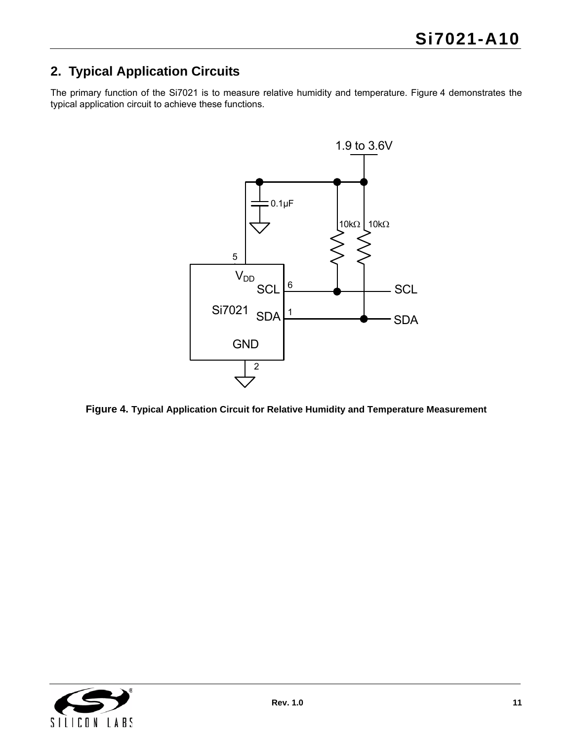## <span id="page-10-0"></span>**2. Typical Application Circuits**

The primary function of the Si7021 is to measure relative humidity and temperature. [Figure 4](#page-10-1) demonstrates the typical application circuit to achieve these functions.



<span id="page-10-1"></span>**Figure 4. Typical Application Circuit for Relative Humidity and Temperature Measurement**

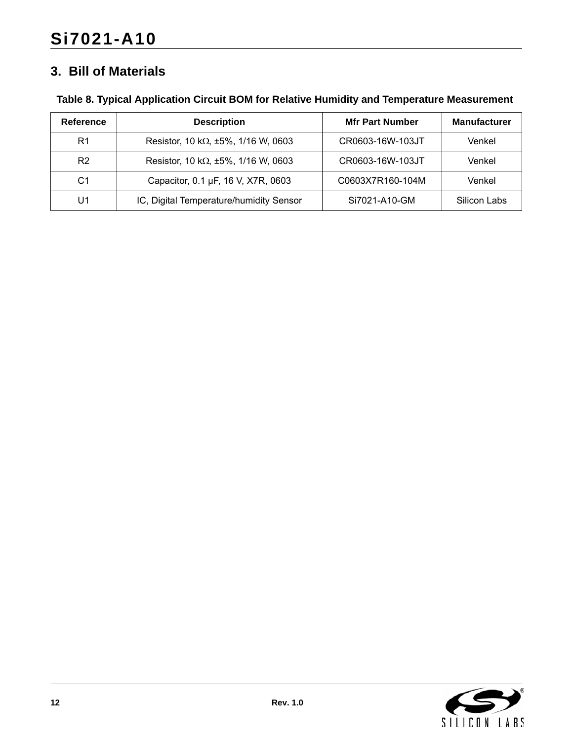## <span id="page-11-0"></span>**3. Bill of Materials**

|  |  |  | Table 8. Typical Application Circuit BOM for Relative Humidity and Temperature Measurement |
|--|--|--|--------------------------------------------------------------------------------------------|
|  |  |  |                                                                                            |

| Reference      | <b>Description</b>                          | <b>Mfr Part Number</b> | <b>Manufacturer</b> |
|----------------|---------------------------------------------|------------------------|---------------------|
| R1             | Resistor, 10 k $\Omega$ , ±5%, 1/16 W, 0603 | CR0603-16W-103JT       | Venkel              |
| R <sub>2</sub> | Resistor, 10 k $\Omega$ , ±5%, 1/16 W, 0603 | CR0603-16W-103JT       | Venkel              |
| C1             | Capacitor, 0.1 µF, 16 V, X7R, 0603          | C0603X7R160-104M       | Venkel              |
| U1             | IC, Digital Temperature/humidity Sensor     | Si7021-A10-GM          | Silicon Labs        |

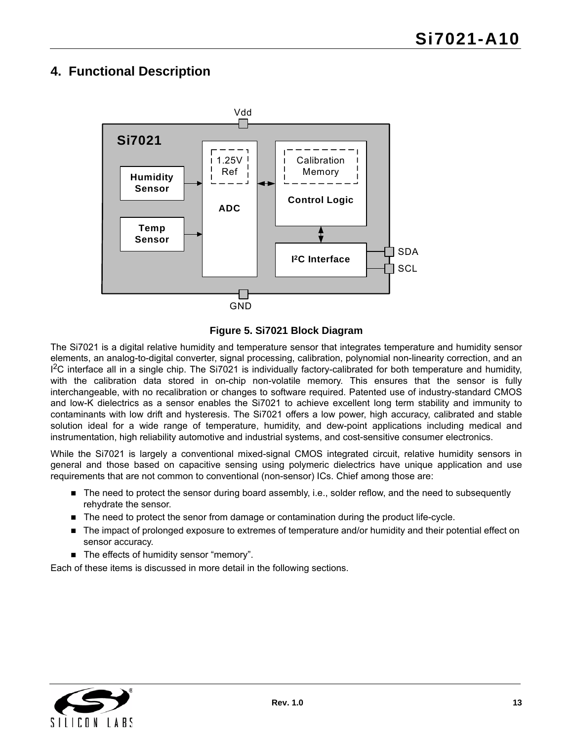## <span id="page-12-0"></span>**4. Functional Description**



**Figure 5. Si7021 Block Diagram**

The Si7021 is a digital relative humidity and temperature sensor that integrates temperature and humidity sensor elements, an analog-to-digital converter, signal processing, calibration, polynomial non-linearity correction, and an <sup>2</sup>C interface all in a single chip. The Si7021 is individually factory-calibrated for both temperature and humidity, with the calibration data stored in on-chip non-volatile memory. This ensures that the sensor is fully interchangeable, with no recalibration or changes to software required. Patented use of industry-standard CMOS and low-K dielectrics as a sensor enables the Si7021 to achieve excellent long term stability and immunity to contaminants with low drift and hysteresis. The Si7021 offers a low power, high accuracy, calibrated and stable solution ideal for a wide range of temperature, humidity, and dew-point applications including medical and instrumentation, high reliability automotive and industrial systems, and cost-sensitive consumer electronics.

While the Si7021 is largely a conventional mixed-signal CMOS integrated circuit, relative humidity sensors in general and those based on capacitive sensing using polymeric dielectrics have unique application and use requirements that are not common to conventional (non-sensor) ICs. Chief among those are:

- The need to protect the sensor during board assembly, i.e., solder reflow, and the need to subsequently rehydrate the sensor.
- The need to protect the senor from damage or contamination during the product life-cycle.
- The impact of prolonged exposure to extremes of temperature and/or humidity and their potential effect on sensor accuracy.
- The effects of humidity sensor "memory".

Each of these items is discussed in more detail in the following sections.

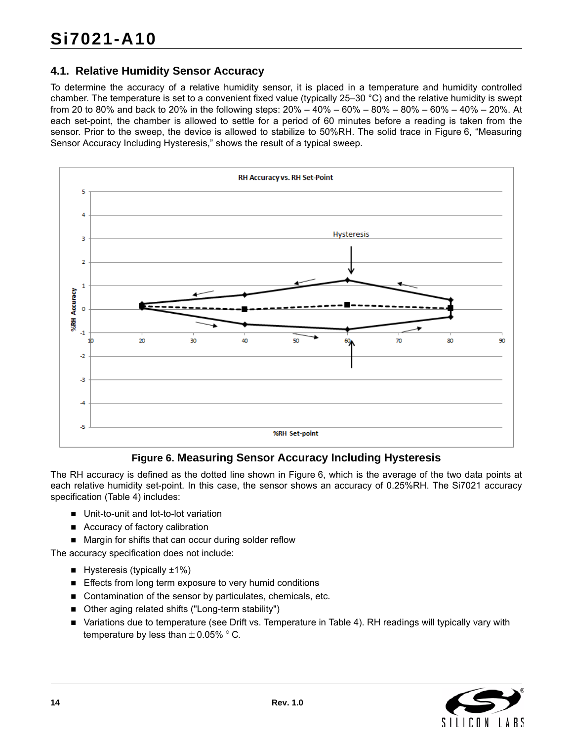## <span id="page-13-0"></span>**4.1. Relative Humidity Sensor Accuracy**

To determine the accuracy of a relative humidity sensor, it is placed in a temperature and humidity controlled chamber. The temperature is set to a convenient fixed value (typically 25–30 °C) and the relative humidity is swept from 20 to 80% and back to 20% in the following steps: 20% – 40% – 60% – 80% – 80% – 60% – 40% – 20%. At each set-point, the chamber is allowed to settle for a period of 60 minutes before a reading is taken from the sensor. Prior to the sweep, the device is allowed to stabilize to 50%RH. The solid trace in [Figure 6, "Measuring](#page-13-1) [Sensor Accuracy Including Hysteresis,"](#page-13-1) shows the result of a typical sweep.



## **Figure 6. Measuring Sensor Accuracy Including Hysteresis**

<span id="page-13-1"></span>The RH accuracy is defined as the dotted line shown in [Figure 6](#page-13-1), which is the average of the two data points at each relative humidity set-point. In this case, the sensor shows an accuracy of 0.25%RH. The Si7021 accuracy specification [\(Table 4](#page-6-1)) includes:

- Unit-to-unit and lot-to-lot variation
- Accuracy of factory calibration
- Margin for shifts that can occur during solder reflow

The accuracy specification does not include:

- $\blacksquare$  Hysteresis (typically  $\pm 1\%$ )
- **Effects from long term exposure to very humid conditions**
- Contamination of the sensor by particulates, chemicals, etc.
- Other aging related shifts ("Long-term stability")
- Variations due to temperature (see Drift vs. Temperature in [Table 4\)](#page-6-1). RH readings will typically vary with temperature by less than  $\pm$  0.05%  $^{\circ}$  C.

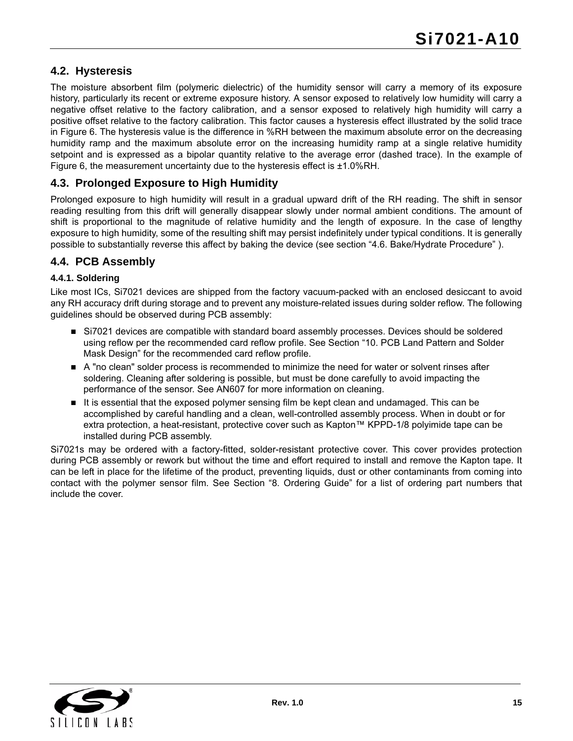## <span id="page-14-0"></span>**4.2. Hysteresis**

The moisture absorbent film (polymeric dielectric) of the humidity sensor will carry a memory of its exposure history, particularly its recent or extreme exposure history. A sensor exposed to relatively low humidity will carry a negative offset relative to the factory calibration, and a sensor exposed to relatively high humidity will carry a positive offset relative to the factory calibration. This factor causes a hysteresis effect illustrated by the solid trace in [Figure 6](#page-13-1). The hysteresis value is the difference in %RH between the maximum absolute error on the decreasing humidity ramp and the maximum absolute error on the increasing humidity ramp at a single relative humidity setpoint and is expressed as a bipolar quantity relative to the average error (dashed trace). In the example of [Figure 6,](#page-13-1) the measurement uncertainty due to the hysteresis effect is ±1.0%RH.

### <span id="page-14-1"></span>**4.3. Prolonged Exposure to High Humidity**

Prolonged exposure to high humidity will result in a gradual upward drift of the RH reading. The shift in sensor reading resulting from this drift will generally disappear slowly under normal ambient conditions. The amount of shift is proportional to the magnitude of relative humidity and the length of exposure. In the case of lengthy exposure to high humidity, some of the resulting shift may persist indefinitely under typical conditions. It is generally possible to substantially reverse this affect by baking the device (see section ["4.6. Bake/Hydrate Procedure"](#page-16-1) ).

### <span id="page-14-2"></span>**4.4. PCB Assembly**

#### **4.4.1. Soldering**

Like most ICs, Si7021 devices are shipped from the factory vacuum-packed with an enclosed desiccant to avoid any RH accuracy drift during storage and to prevent any moisture-related issues during solder reflow. The following guidelines should be observed during PCB assembly:

- Si7021 devices are compatible with standard board assembly processes. Devices should be soldered using reflow per the recommended card reflow profile. See Section "10. PCB Land Pattern and Solder Mask Design" for the recommended card reflow profile.
- A "no clean" solder process is recommended to minimize the need for water or solvent rinses after soldering. Cleaning after soldering is possible, but must be done carefully to avoid impacting the performance of the sensor. See AN607 for more information on cleaning.
- It is essential that the exposed polymer sensing film be kept clean and undamaged. This can be accomplished by careful handling and a clean, well-controlled assembly process. When in doubt or for extra protection, a heat-resistant, protective cover such as Kapton™ KPPD-1/8 polyimide tape can be installed during PCB assembly.

Si7021s may be ordered with a factory-fitted, solder-resistant protective cover. This cover provides protection during PCB assembly or rework but without the time and effort required to install and remove the Kapton tape. It can be left in place for the lifetime of the product, preventing liquids, dust or other contaminants from coming into contact with the polymer sensor film. See Section "8. Ordering Guide" for a list of ordering part numbers that include the cover.

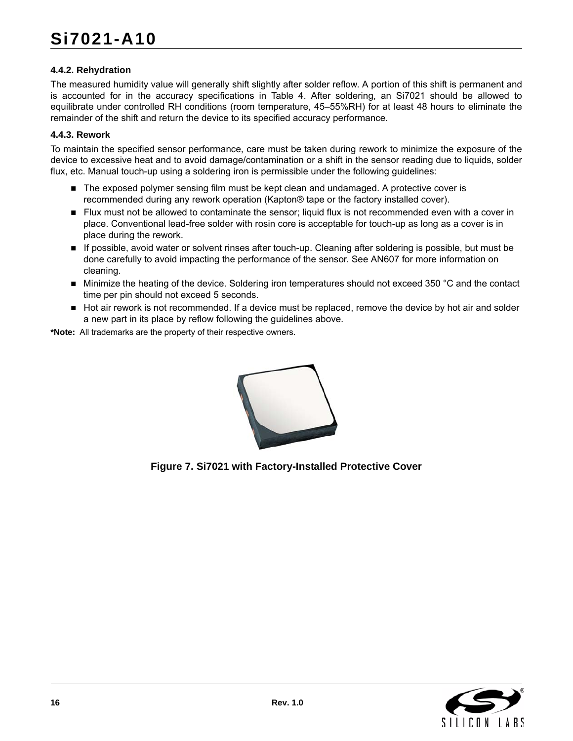#### **4.4.2. Rehydration**

The measured humidity value will generally shift slightly after solder reflow. A portion of this shift is permanent and is accounted for in the accuracy specifications in Table 4. After soldering, an Si7021 should be allowed to equilibrate under controlled RH conditions (room temperature, 45–55%RH) for at least 48 hours to eliminate the remainder of the shift and return the device to its specified accuracy performance.

#### **4.4.3. Rework**

To maintain the specified sensor performance, care must be taken during rework to minimize the exposure of the device to excessive heat and to avoid damage/contamination or a shift in the sensor reading due to liquids, solder flux, etc. Manual touch-up using a soldering iron is permissible under the following guidelines:

- The exposed polymer sensing film must be kept clean and undamaged. A protective cover is recommended during any rework operation (Kapton® tape or the factory installed cover).
- Flux must not be allowed to contaminate the sensor; liquid flux is not recommended even with a cover in place. Conventional lead-free solder with rosin core is acceptable for touch-up as long as a cover is in place during the rework.
- If possible, avoid water or solvent rinses after touch-up. Cleaning after soldering is possible, but must be done carefully to avoid impacting the performance of the sensor. See AN607 for more information on cleaning.
- Minimize the heating of the device. Soldering iron temperatures should not exceed 350 °C and the contact time per pin should not exceed 5 seconds.
- Hot air rework is not recommended. If a device must be replaced, remove the device by hot air and solder a new part in its place by reflow following the guidelines above.

**\*Note:** All trademarks are the property of their respective owners.



**Figure 7. Si7021 with Factory-Installed Protective Cover**

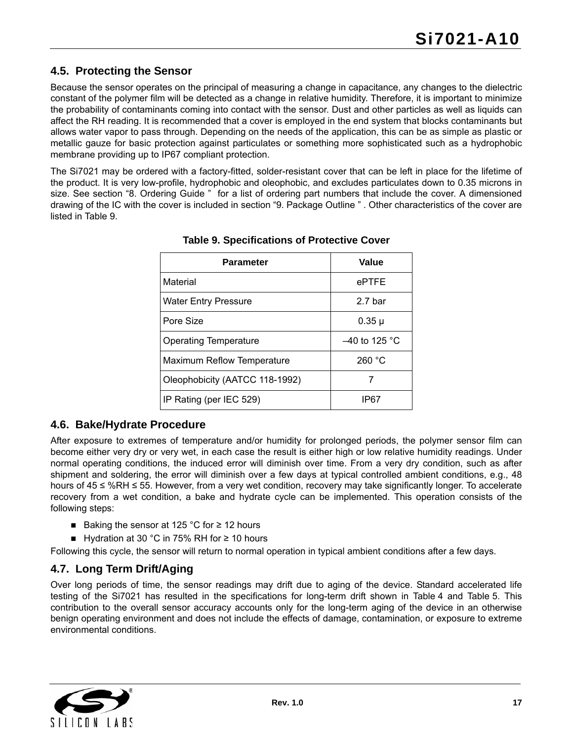## <span id="page-16-0"></span>**4.5. Protecting the Sensor**

Because the sensor operates on the principal of measuring a change in capacitance, any changes to the dielectric constant of the polymer film will be detected as a change in relative humidity. Therefore, it is important to minimize the probability of contaminants coming into contact with the sensor. Dust and other particles as well as liquids can affect the RH reading. It is recommended that a cover is employed in the end system that blocks contaminants but allows water vapor to pass through. Depending on the needs of the application, this can be as simple as plastic or metallic gauze for basic protection against particulates or something more sophisticated such as a hydrophobic membrane providing up to IP67 compliant protection.

<span id="page-16-3"></span>The Si7021 may be ordered with a factory-fitted, solder-resistant cover that can be left in place for the lifetime of the product. It is very low-profile, hydrophobic and oleophobic, and excludes particulates down to 0.35 microns in size. See section ["8. Ordering Guide "](#page-26-0) for a list of ordering part numbers that include the cover. A dimensioned drawing of the IC with the cover is included in section ["9. Package Outline " .](#page-27-0) Other characteristics of the cover are listed in [Table 9.](#page-16-3)

| <b>Parameter</b>               | Value           |
|--------------------------------|-----------------|
| Material                       | ePTFE           |
| <b>Water Entry Pressure</b>    | 2.7 bar         |
| Pore Size                      | 0.35 µ          |
| <b>Operating Temperature</b>   | $-40$ to 125 °C |
| Maximum Reflow Temperature     | 260 °C          |
| Oleophobicity (AATCC 118-1992) |                 |
| IP Rating (per IEC 529)        | IP67            |

#### **Table 9. Specifications of Protective Cover**

### <span id="page-16-1"></span>**4.6. Bake/Hydrate Procedure**

After exposure to extremes of temperature and/or humidity for prolonged periods, the polymer sensor film can become either very dry or very wet, in each case the result is either high or low relative humidity readings. Under normal operating conditions, the induced error will diminish over time. From a very dry condition, such as after shipment and soldering, the error will diminish over a few days at typical controlled ambient conditions, e.g., 48 hours of 45 ≤ %RH ≤ 55. However, from a very wet condition, recovery may take significantly longer. To accelerate recovery from a wet condition, a bake and hydrate cycle can be implemented. This operation consists of the following steps:

- Baking the sensor at 125 °C for ≥ 12 hours
- Hydration at 30 °C in 75% RH for  $\geq$  10 hours

Following this cycle, the sensor will return to normal operation in typical ambient conditions after a few days.

## <span id="page-16-2"></span>**4.7. Long Term Drift/Aging**

Over long periods of time, the sensor readings may drift due to aging of the device. Standard accelerated life testing of the Si7021 has resulted in the specifications for long-term drift shown in [Table 4](#page-6-1) and [Table 5.](#page-8-3) This contribution to the overall sensor accuracy accounts only for the long-term aging of the device in an otherwise benign operating environment and does not include the effects of damage, contamination, or exposure to extreme environmental conditions.

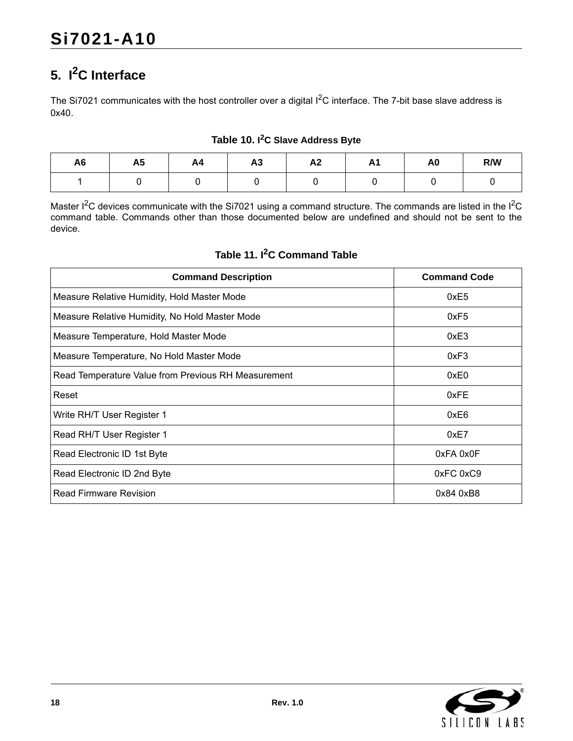## <span id="page-17-0"></span>**5. I2C Interface**

The Si7021 communicates with the host controller over a digital I<sup>2</sup>C interface. The 7-bit base slave address is 0x40.

| A <sub>6</sub> | A <sub>5</sub> | A4 | $\mathbf{A}$<br>AJ | A <sub>2</sub> | <b>11</b> | A <sub>0</sub> | R/W |
|----------------|----------------|----|--------------------|----------------|-----------|----------------|-----|
|                |                |    |                    |                |           |                |     |

#### **Table 10. I 2C Slave Address Byte**

Master I<sup>2</sup>C devices communicate with the Si7021 using a command structure. The commands are listed in the I<sup>2</sup>C command table. Commands other than those documented below are undefined and should not be sent to the device.

## **Table 11. I2C Command Table**

| <b>Command Description</b>                          | <b>Command Code</b> |
|-----------------------------------------------------|---------------------|
| Measure Relative Humidity, Hold Master Mode         | 0xE5                |
| Measure Relative Humidity, No Hold Master Mode      | 0xF5                |
| Measure Temperature, Hold Master Mode               | 0xE3                |
| Measure Temperature, No Hold Master Mode            | 0xF3                |
| Read Temperature Value from Previous RH Measurement | 0xE0                |
| Reset                                               | 0xFE                |
| Write RH/T User Register 1                          | 0xE6                |
| Read RH/T User Register 1                           | 0xE7                |
| Read Electronic ID 1st Byte                         | 0xFA 0x0F           |
| Read Electronic ID 2nd Byte                         | 0xFC 0xC9           |
| Read Firmware Revision                              | 0x84 0xB8           |

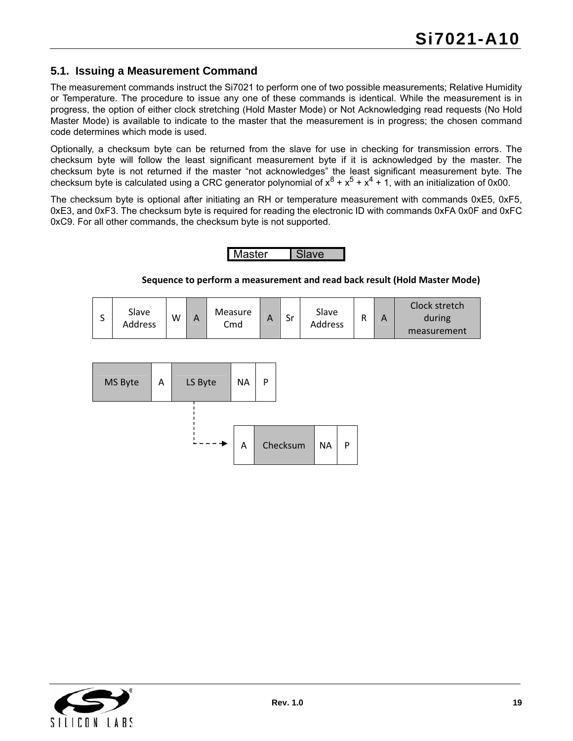## <span id="page-18-0"></span>**5.1. Issuing a Measurement Command**

The measurement commands instruct the Si7021 to perform one of two possible measurements; Relative Humidity or Temperature. The procedure to issue any one of these commands is identical. While the measurement is in progress, the option of either clock stretching (Hold Master Mode) or Not Acknowledging read requests (No Hold Master Mode) is available to indicate to the master that the measurement is in progress; the chosen command code determines which mode is used.

Optionally, a checksum byte can be returned from the slave for use in checking for transmission errors. The checksum byte will follow the least significant measurement byte if it is acknowledged by the master. The checksum byte is not returned if the master "not acknowledges" the least significant measurement byte. The checksum byte is calculated using a CRC generator polynomial of  $x^8 + x^5 + x^4 + 1$ , with an initialization of 0x00.

The checksum byte is optional after initiating an RH or temperature measurement with commands 0xE5, 0xF5, 0xE3, and 0xF3. The checksum byte is required for reading the electronic ID with commands 0xFA 0x0F and 0xFC 0xC9. For all other commands, the checksum byte is not supported.

## Master | Slave

#### **Sequence to perform a measurement and read back result (Hold Master Mode)**

| ◡ | Slave<br>Address | W | А | <b>Measure</b><br>Cmd | <u>r</u> | Sr | Slave<br>Address |  | А | Clock stretch<br>during<br>measurement |
|---|------------------|---|---|-----------------------|----------|----|------------------|--|---|----------------------------------------|
|---|------------------|---|---|-----------------------|----------|----|------------------|--|---|----------------------------------------|



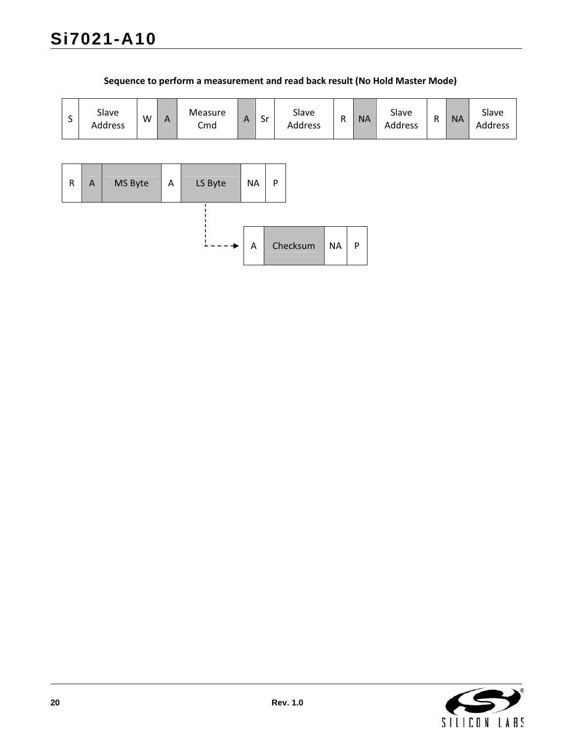| S         |                | Slave<br>Address | W | $\mathsf{A}$ | Measure<br>Cmd | $\boldsymbol{\mathsf{A}}$ | Sr           | Slave<br>Address | ${\sf R}$ | <b>NA</b> | Slave<br>Address | ${\sf R}$ | <b>NA</b> | Slave<br>Address |
|-----------|----------------|------------------|---|--------------|----------------|---------------------------|--------------|------------------|-----------|-----------|------------------|-----------|-----------|------------------|
|           |                |                  |   |              |                |                           |              |                  |           |           |                  |           |           |                  |
| ${\sf R}$ | $\overline{A}$ | MS Byte          |   | A            | LS Byte        | <b>NA</b>                 | $\mathsf{P}$ |                  |           |           |                  |           |           |                  |
|           |                |                  |   |              |                |                           |              |                  |           |           |                  |           |           |                  |
|           |                |                  |   |              | ◆              | A                         |              | Checksum         | <b>NA</b> | ${\sf P}$ |                  |           |           |                  |

### **Sequence to perform a measurement and read back result (No Hold Master Mode)**

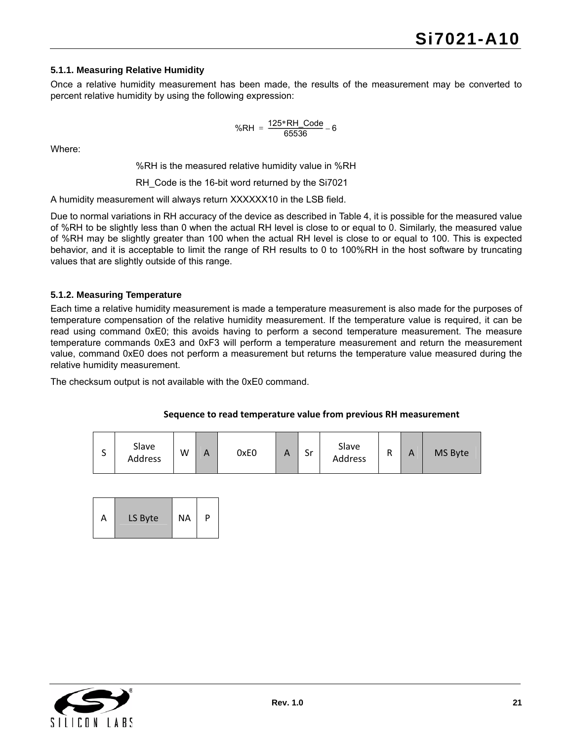#### **5.1.1. Measuring Relative Humidity**

Once a relative humidity measurement has been made, the results of the measurement may be converted to percent relative humidity by using the following expression:

$$
%RH = \frac{125 * RH\_Code}{65536} - 6
$$

Where:

%RH is the measured relative humidity value in %RH

RH\_Code is the 16-bit word returned by the Si7021

A humidity measurement will always return XXXXXX10 in the LSB field.

Due to normal variations in RH accuracy of the device as described in Table 4, it is possible for the measured value of %RH to be slightly less than 0 when the actual RH level is close to or equal to 0. Similarly, the measured value of %RH may be slightly greater than 100 when the actual RH level is close to or equal to 100. This is expected behavior, and it is acceptable to limit the range of RH results to 0 to 100%RH in the host software by truncating values that are slightly outside of this range.

#### **5.1.2. Measuring Temperature**

Each time a relative humidity measurement is made a temperature measurement is also made for the purposes of temperature compensation of the relative humidity measurement. If the temperature value is required, it can be read using command 0xE0; this avoids having to perform a second temperature measurement. The measure temperature commands 0xE3 and 0xF3 will perform a temperature measurement and return the measurement value, command 0xE0 does not perform a measurement but returns the temperature value measured during the relative humidity measurement.

The checksum output is not available with the 0xE0 command.

#### **Sequence to read temperature value from previous RH measurement**

| ∽<br>ັ | Slave<br>Address | W | A | 0xE0 | Δ<br>$\mathbf{\Gamma}$ | Sr | Slave<br>Address | D | А | MS Byte |
|--------|------------------|---|---|------|------------------------|----|------------------|---|---|---------|
|--------|------------------|---|---|------|------------------------|----|------------------|---|---|---------|

| LS Byte<br>А |
|--------------|
|--------------|

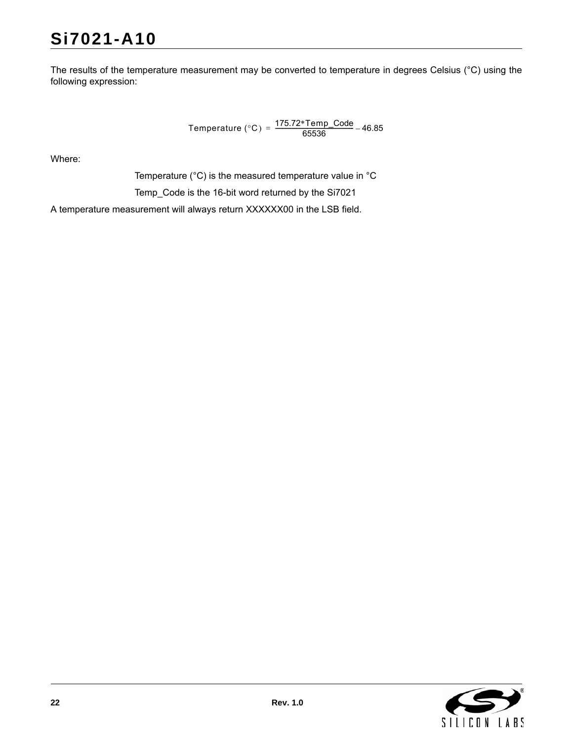# **Si7021-A10**

The results of the temperature measurement may be converted to temperature in degrees Celsius (°C) using the following expression:

Temperature (°C) =  $\frac{175.72 \text{*} \text{Temp\_Code}}{65536}$  – 46.85

Where:

Temperature (°C) is the measured temperature value in °C

Temp\_Code is the 16-bit word returned by the Si7021

A temperature measurement will always return XXXXXX00 in the LSB field.

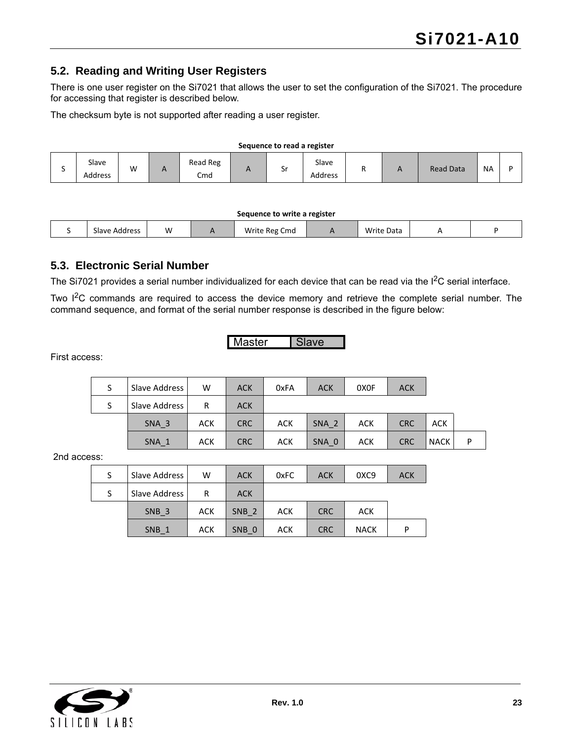## <span id="page-22-0"></span>**5.2. Reading and Writing User Registers**

There is one user register on the Si7021 that allows the user to set the configuration of the Si7021. The procedure for accessing that register is described below.

The checksum byte is not supported after reading a user register.

#### **Sequence to read a register**

|  | Slave<br>Address | W |  | Read Reg<br>Cmd |  | ັ | Slave<br>Address |  | $\sqrt{ }$ | <b>Read Data</b> | <b>NA</b> |  |
|--|------------------|---|--|-----------------|--|---|------------------|--|------------|------------------|-----------|--|
|--|------------------|---|--|-----------------|--|---|------------------|--|------------|------------------|-----------|--|

#### **Sequence to write a register**

| Slave Address | W | Write Reg<br>Cmd | <b>Write Data</b> |  |
|---------------|---|------------------|-------------------|--|
|               |   |                  |                   |  |

#### <span id="page-22-1"></span>**5.3. Electronic Serial Number**

The Si7021 provides a serial number individualized for each device that can be read via the  $I<sup>2</sup>C$  serial interface.

Two I<sup>2</sup>C commands are required to access the device memory and retrieve the complete serial number. The command sequence, and format of the serial number response is described in the figure below:

Master Slave

First access:

| S | Slave Address    | W          | <b>ACK</b> | 0xFA       | <b>ACK</b>       | 0X <sub>OF</sub> | <b>ACK</b> |             |   |
|---|------------------|------------|------------|------------|------------------|------------------|------------|-------------|---|
| S | Slave Address    | R          | <b>ACK</b> |            |                  |                  |            |             |   |
|   | SNA <sub>3</sub> | <b>ACK</b> | <b>CRC</b> | <b>ACK</b> | SNA <sub>2</sub> | ACK              | <b>CRC</b> | <b>ACK</b>  |   |
|   | $SNA_1$          | <b>ACK</b> | <b>CRC</b> | <b>ACK</b> | SNA 0            | <b>ACK</b>       | <b>CRC</b> | <b>NACK</b> | Þ |

2nd access:

| Slave Address    | w          | <b>ACK</b>       | 0xFC | <b>ACK</b> | 0XC9        | <b>ACK</b> |
|------------------|------------|------------------|------|------------|-------------|------------|
| Slave Address    | R          | <b>ACK</b>       |      |            |             |            |
| SNB <sub>3</sub> | <b>ACK</b> | SNB <sub>2</sub> | ACK  | <b>CRC</b> | ACK         |            |
| SNB 1            | ACK        | SNB 0            | ACK  | <b>CRC</b> | <b>NACK</b> |            |

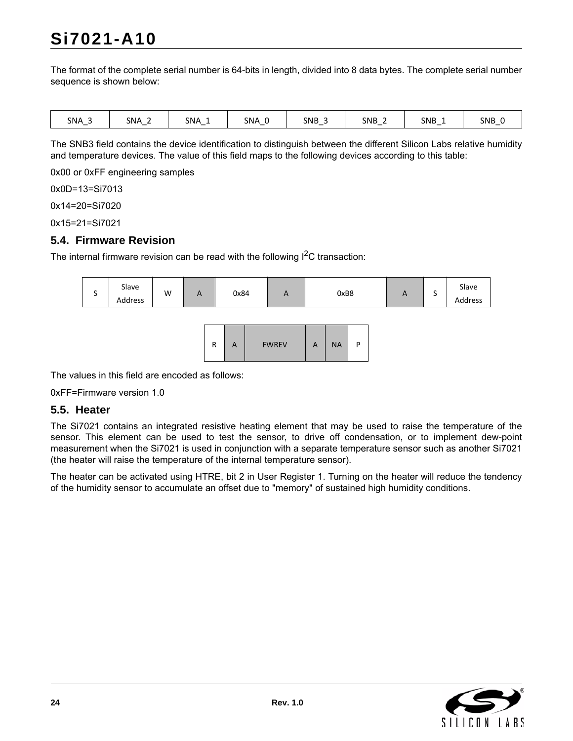# **Si7021-A10**

The format of the complete serial number is 64-bits in length, divided into 8 data bytes. The complete serial number sequence is shown below:

| . .<br>- |  | <b>SNA</b> | C <sub>1</sub><br>-<br>ەNΑ | SNA | SNA | <b>SNB</b> | <b>SNB</b> | SNB | SNB |
|----------|--|------------|----------------------------|-----|-----|------------|------------|-----|-----|
|----------|--|------------|----------------------------|-----|-----|------------|------------|-----|-----|

The SNB3 field contains the device identification to distinguish between the different Silicon Labs relative humidity and temperature devices. The value of this field maps to the following devices according to this table:

0x00 or 0xFF engineering samples

0x0D=13=Si7013

0x14=20=Si7020

0x15=21=Si7021

#### <span id="page-23-0"></span>**5.4. Firmware Revision**

The internal firmware revision can be read with the following  $I<sup>2</sup>C$  transaction:



The values in this field are encoded as follows:

0xFF=Firmware version 1.0

#### <span id="page-23-1"></span>**5.5. Heater**

The Si7021 contains an integrated resistive heating element that may be used to raise the temperature of the sensor. This element can be used to test the sensor, to drive off condensation, or to implement dew-point measurement when the Si7021 is used in conjunction with a separate temperature sensor such as another Si7021 (the heater will raise the temperature of the internal temperature sensor).

The heater can be activated using HTRE, bit 2 in User Register 1. Turning on the heater will reduce the tendency of the humidity sensor to accumulate an offset due to "memory" of sustained high humidity conditions.

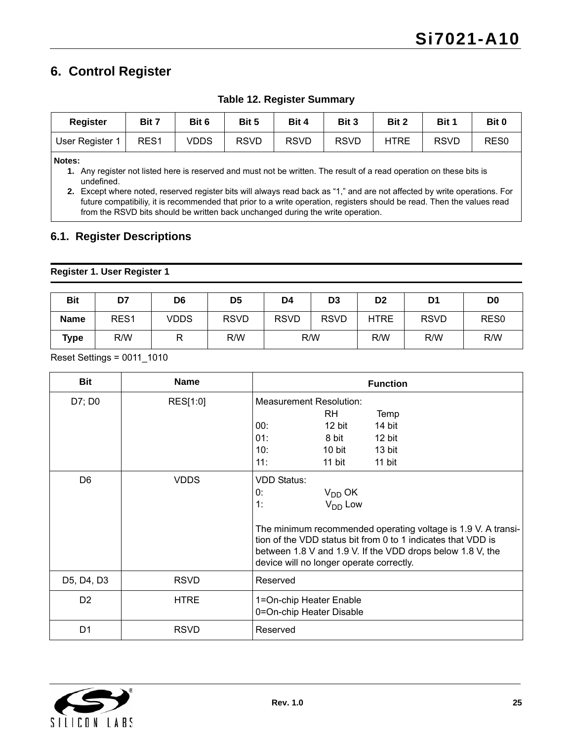## <span id="page-24-0"></span>**6. Control Register**

| Register        | Bit 7            | Bit 6 | Bit 5 | Bit 4       | Bit 3       | Bit 2       | Bit 1       | Bit 0            |
|-----------------|------------------|-------|-------|-------------|-------------|-------------|-------------|------------------|
| User Register 1 | RES <sub>1</sub> | VDDS  | RSVD  | <b>RSVD</b> | <b>RSVD</b> | <b>HTRE</b> | <b>RSVD</b> | RES <sub>0</sub> |

**Table 12. Register Summary**

**Notes:**

**1.** Any register not listed here is reserved and must not be written. The result of a read operation on these bits is undefined.

**2.** Except where noted, reserved register bits will always read back as "1," and are not affected by write operations. For future compatibiliy, it is recommended that prior to a write operation, registers should be read. Then the values read from the RSVD bits should be written back unchanged during the write operation.

### <span id="page-24-1"></span>**6.1. Register Descriptions**

#### **Register 1. User Register 1**

| <b>Bit</b>  | D7               | D <sub>6</sub> | D <sub>5</sub> | D4          | D <sub>3</sub> | D <sub>2</sub> | D <sub>1</sub> | D <sub>0</sub>   |
|-------------|------------------|----------------|----------------|-------------|----------------|----------------|----------------|------------------|
| <b>Name</b> | RES <sub>1</sub> | <b>VDDS</b>    | <b>RSVD</b>    | <b>RSVD</b> | <b>RSVD</b>    | <b>HTRE</b>    | <b>RSVD</b>    | RES <sub>0</sub> |
| <b>Type</b> | R/W              | R              | R/W            | R/W         |                | R/W            | R/W            | R/W              |

Reset Settings = 0011\_1010

| <b>Bit</b>     | <b>Name</b> | <b>Function</b>                                                                                                                                                                                                                                                                                                 |
|----------------|-------------|-----------------------------------------------------------------------------------------------------------------------------------------------------------------------------------------------------------------------------------------------------------------------------------------------------------------|
| D7; D0         | RES[1:0]    | <b>Measurement Resolution:</b><br>RH.<br>Temp<br>14 bit<br>00:<br>12 bit<br>01:<br>8 bit<br>12 bit<br>10:<br>10 bit<br>13 bit<br>11:<br>11 bit<br>11 bit                                                                                                                                                        |
| D <sub>6</sub> | <b>VDDS</b> | <b>VDD Status:</b><br>0:<br>$V_{DD}$ OK<br>V <sub>DD</sub> Low<br>1:<br>The minimum recommended operating voltage is 1.9 V. A transi-<br>tion of the VDD status bit from 0 to 1 indicates that VDD is<br>between 1.8 V and 1.9 V. If the VDD drops below 1.8 V, the<br>device will no longer operate correctly. |
| D5, D4, D3     | <b>RSVD</b> | Reserved                                                                                                                                                                                                                                                                                                        |
| D <sub>2</sub> | <b>HTRE</b> | 1=On-chip Heater Enable<br>0=On-chip Heater Disable                                                                                                                                                                                                                                                             |
| D <sub>1</sub> | <b>RSVD</b> | Reserved                                                                                                                                                                                                                                                                                                        |

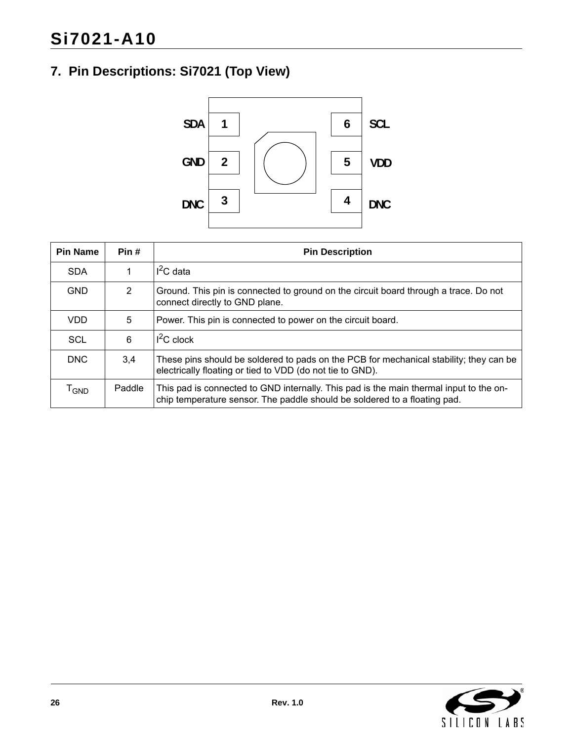## <span id="page-25-0"></span>**7. Pin Descriptions: Si7021 (Top View)**



| <b>Pin Name</b>             | Pin #          | <b>Pin Description</b>                                                                                                                                              |
|-----------------------------|----------------|---------------------------------------------------------------------------------------------------------------------------------------------------------------------|
| <b>SDA</b>                  | 1              | $I2C$ data                                                                                                                                                          |
| <b>GND</b>                  | $\overline{2}$ | Ground. This pin is connected to ground on the circuit board through a trace. Do not<br>connect directly to GND plane.                                              |
| <b>VDD</b>                  | 5              | Power. This pin is connected to power on the circuit board.                                                                                                         |
| SCL                         | 6              | $I^2C$ clock                                                                                                                                                        |
| <b>DNC</b>                  | 3,4            | These pins should be soldered to pads on the PCB for mechanical stability; they can be<br>electrically floating or tied to VDD (do not tie to GND).                 |
| $\mathsf{T}_{\mathsf{GND}}$ | Paddle         | This pad is connected to GND internally. This pad is the main thermal input to the on-<br>chip temperature sensor. The paddle should be soldered to a floating pad. |

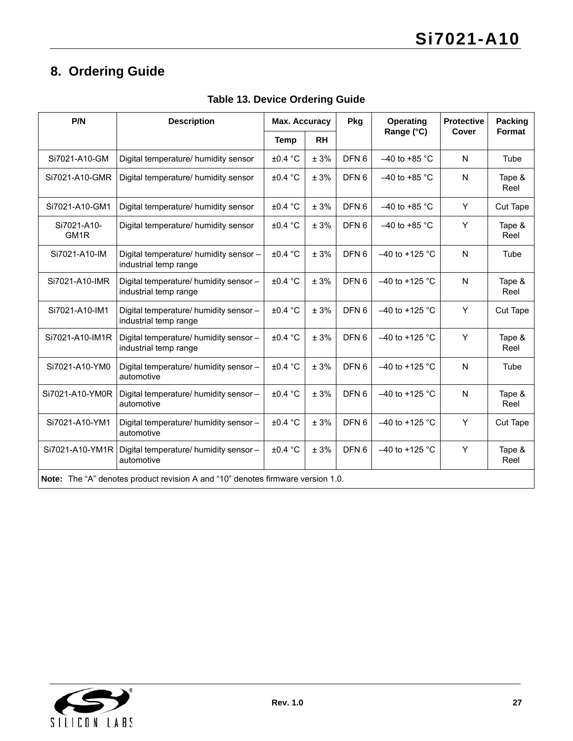## <span id="page-26-0"></span>**8. Ordering Guide**

| P/N                              | <b>Description</b>                                                              |              | Pkg<br>Max. Accuracy |                  | <b>Operating</b> | <b>Protective</b> | Packing<br>Format |
|----------------------------------|---------------------------------------------------------------------------------|--------------|----------------------|------------------|------------------|-------------------|-------------------|
|                                  |                                                                                 | <b>Temp</b>  | <b>RH</b>            |                  | Range (°C)       | Cover             |                   |
| Si7021-A10-GM                    | Digital temperature/ humidity sensor                                            | ±0.4 °C      | ± 3%                 | DFN <sub>6</sub> | $-40$ to +85 °C  | N                 | Tube              |
| Si7021-A10-GMR                   | Digital temperature/ humidity sensor                                            | ±0.4 °C      | ± 3%                 | DFN <sub>6</sub> | $-40$ to +85 °C  | N                 | Tape &<br>Reel    |
| Si7021-A10-GM1                   | Digital temperature/ humidity sensor                                            | ±0.4 °C      | ± 3%                 | DFN <sub>6</sub> | $-40$ to +85 °C  | Y                 | Cut Tape          |
| Si7021-A10-<br>GM <sub>1</sub> R | Digital temperature/ humidity sensor                                            | ±0.4 °C      | ± 3%                 | DFN <sub>6</sub> | $-40$ to +85 °C  | Y                 | Tape &<br>Reel    |
| Si7021-A10-IM                    | Digital temperature/ humidity sensor -<br>industrial temp range                 | ±0.4 °C      | ± 3%                 | DFN <sub>6</sub> | $-40$ to +125 °C | N                 | Tube              |
| Si7021-A10-IMR                   | Digital temperature/ humidity sensor -<br>industrial temp range                 | ±0.4 °C      | ± 3%                 | DFN <sub>6</sub> | $-40$ to +125 °C | N                 | Tape &<br>Reel    |
| Si7021-A10-IM1                   | Digital temperature/ humidity sensor -<br>industrial temp range                 | ±0.4 °C      | ± 3%                 | DFN <sub>6</sub> | $-40$ to +125 °C | Y                 | <b>Cut Tape</b>   |
| Si7021-A10-IM1R                  | Digital temperature/ humidity sensor -<br>industrial temp range                 | ±0.4 °C      | ± 3%                 | DFN <sub>6</sub> | $-40$ to +125 °C | Y                 | Tape &<br>Reel    |
| Si7021-A10-YM0                   | Digital temperature/ humidity sensor -<br>automotive                            | ±0.4 °C      | ± 3%                 | DFN <sub>6</sub> | $-40$ to +125 °C | N                 | Tube              |
| Si7021-A10-YM0R                  | Digital temperature/ humidity sensor -<br>automotive                            | $\pm 0.4$ °C | ± 3%                 | DFN <sub>6</sub> | $-40$ to +125 °C | N                 | Tape &<br>Reel    |
| Si7021-A10-YM1                   | Digital temperature/ humidity sensor -<br>automotive                            | ±0.4 °C      | ± 3%                 | DFN <sub>6</sub> | $-40$ to +125 °C | Y                 | Cut Tape          |
| Si7021-A10-YM1R                  | Digital temperature/ humidity sensor -<br>automotive                            | ±0.4 °C      | ± 3%                 | DFN <sub>6</sub> | $-40$ to +125 °C | Υ                 | Tape &<br>Reel    |
|                                  | Note: The "A" denotes product revision A and "10" denotes firmware version 1.0. |              |                      |                  |                  |                   |                   |

**Table 13. Device Ordering Guide**

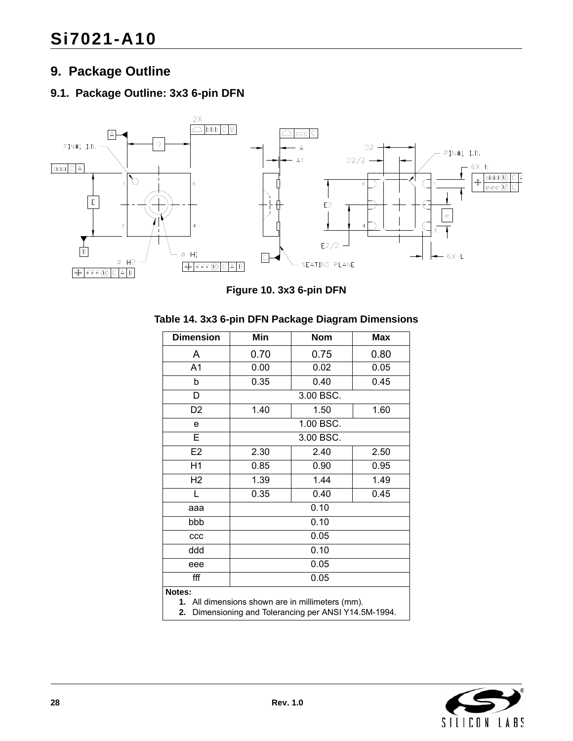## <span id="page-27-0"></span>**9. Package Outline**

## <span id="page-27-1"></span>**9.1. Package Outline: 3x3 6-pin DFN**



**Figure 10. 3x3 6-pin DFN**

| <b>Dimension</b> | Min                                              | Nom          | Max  |  |  |  |
|------------------|--------------------------------------------------|--------------|------|--|--|--|
| A                | 0.70                                             | 0.75         | 0.80 |  |  |  |
| A1               | 0.00                                             | 0.02         | 0.05 |  |  |  |
| b                | 0.35                                             | 0.45<br>0.40 |      |  |  |  |
| D                | 3.00 BSC.                                        |              |      |  |  |  |
| D <sub>2</sub>   | 1.40<br>1.50<br>1.60                             |              |      |  |  |  |
| e                | 1.00 BSC.                                        |              |      |  |  |  |
| E                | 3.00 BSC.                                        |              |      |  |  |  |
| E <sub>2</sub>   | 2.30                                             | 2.40         | 2.50 |  |  |  |
| H1               | 0.85                                             | 0.90         | 0.95 |  |  |  |
| H <sub>2</sub>   | 1.39                                             | 1.44         | 1.49 |  |  |  |
| L                | 0.35<br>0.45<br>0.40                             |              |      |  |  |  |
| aaa              | 0.10                                             |              |      |  |  |  |
| bbb              | 0.10                                             |              |      |  |  |  |
| ccc              | 0.05                                             |              |      |  |  |  |
| ddd              | 0.10                                             |              |      |  |  |  |
| eee              | 0.05                                             |              |      |  |  |  |
| fff              |                                                  | 0.05         |      |  |  |  |
| Notes:           |                                                  |              |      |  |  |  |
|                  | 1. All dimensions shown are in millimeters (mm). |              |      |  |  |  |

#### **Table 14. 3x3 6-pin DFN Package Diagram Dimensions**

**2.** Dimensioning and Tolerancing per ANSI Y14.5M-1994.

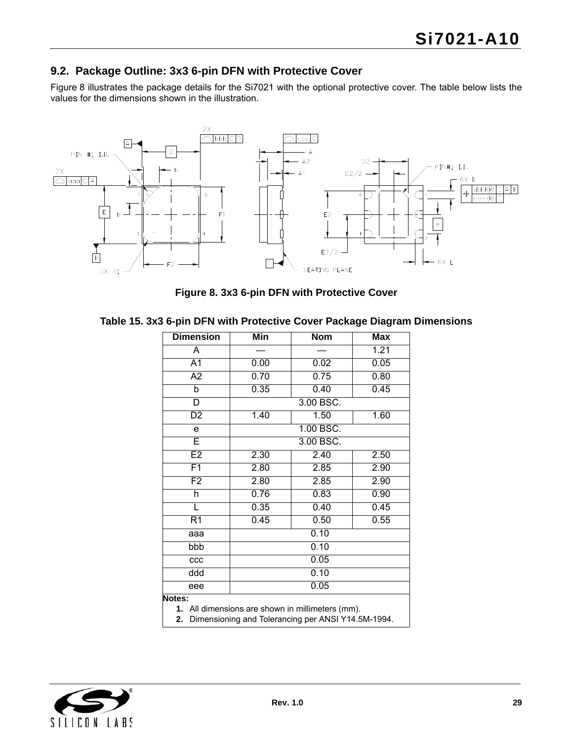## <span id="page-28-0"></span>**9.2. Package Outline: 3x3 6-pin DFN with Protective Cover**

[Figure 8](#page-28-1) illustrates the package details for the Si7021 with the optional protective cover. The table below lists the values for the dimensions shown in the illustration.



**Figure 8. 3x3 6-pin DFN with Protective Cover**

<span id="page-28-1"></span>

|  |  |  | Table 15. 3x3 6-pin DFN with Protective Cover Package Diagram Dimensions |  |
|--|--|--|--------------------------------------------------------------------------|--|
|--|--|--|--------------------------------------------------------------------------|--|

| <b>Dimension</b>        | Min                                                                                                    | <b>Nom</b> | <b>Max</b> |  |  |  |
|-------------------------|--------------------------------------------------------------------------------------------------------|------------|------------|--|--|--|
| Ā                       |                                                                                                        |            | 1.21       |  |  |  |
| $\overline{A1}$         | 0.00                                                                                                   | 0.02       | 0.05       |  |  |  |
| $\overline{A2}$         | 0.70                                                                                                   | 0.75       | 0.80       |  |  |  |
| b                       | 0.35                                                                                                   | 0.40       | 0.45       |  |  |  |
| $\overline{\mathsf{D}}$ |                                                                                                        | 3.00 BSC.  |            |  |  |  |
| $\overline{D2}$         | 1.40                                                                                                   | 1.50       | 1.60       |  |  |  |
| e                       |                                                                                                        | 1.00 BSC.  |            |  |  |  |
| Ē                       | 3.00 BSC.                                                                                              |            |            |  |  |  |
| E2                      | 2.30                                                                                                   | 2.40       | 2.50       |  |  |  |
| F1                      | 2.80                                                                                                   | 2.85       | 2.90       |  |  |  |
| F2                      | 2.80                                                                                                   | 2.85       | 2.90       |  |  |  |
| h                       | 0.76                                                                                                   | 0.83       | 0.90       |  |  |  |
| L                       | 0.35                                                                                                   | 0.40       | 0.45       |  |  |  |
| $\overline{R1}$         | 0.45                                                                                                   | 0.50       | 0.55       |  |  |  |
| aaa                     |                                                                                                        | 0.10       |            |  |  |  |
| bbb                     | 0.10                                                                                                   |            |            |  |  |  |
| ccc                     | 0.05                                                                                                   |            |            |  |  |  |
| ddd                     | 0.10                                                                                                   |            |            |  |  |  |
| eee                     | 0.05                                                                                                   |            |            |  |  |  |
| Notes:                  |                                                                                                        |            |            |  |  |  |
| 2.                      | 1. All dimensions are shown in millimeters (mm).<br>Dimensioning and Tolerancing per ANSI Y14.5M-1994. |            |            |  |  |  |

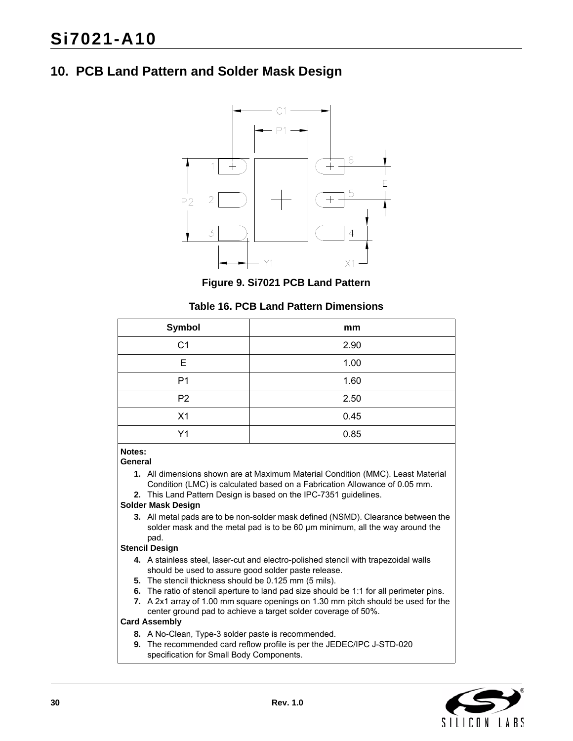## <span id="page-29-0"></span>**10. PCB Land Pattern and Solder Mask Design**



**Figure 9. Si7021 PCB Land Pattern**

#### **Table 16. PCB Land Pattern Dimensions**

| Symbol         | mm   |
|----------------|------|
| C <sub>1</sub> | 2.90 |
| Е              | 1.00 |
| P <sub>1</sub> | 1.60 |
| P <sub>2</sub> | 2.50 |
| X1             | 0.45 |
| Y <sub>1</sub> | 0.85 |

### **Notes:**

#### **General**

- **1.** All dimensions shown are at Maximum Material Condition (MMC). Least Material Condition (LMC) is calculated based on a Fabrication Allowance of 0.05 mm.
- **2.** This Land Pattern Design is based on the IPC-7351 guidelines.

#### **Solder Mask Design**

**3.** All metal pads are to be non-solder mask defined (NSMD). Clearance between the solder mask and the metal pad is to be 60 µm minimum, all the way around the pad.

#### **Stencil Design**

- **4.** A stainless steel, laser-cut and electro-polished stencil with trapezoidal walls should be used to assure good solder paste release.
- **5.** The stencil thickness should be 0.125 mm (5 mils).
- **6.** The ratio of stencil aperture to land pad size should be 1:1 for all perimeter pins.
- **7.** A 2x1 array of 1.00 mm square openings on 1.30 mm pitch should be used for the center ground pad to achieve a target solder coverage of 50%.

#### **Card Assembly**

- **8.** A No-Clean, Type-3 solder paste is recommended.
- **9.** The recommended card reflow profile is per the JEDEC/IPC J-STD-020 specification for Small Body Components.

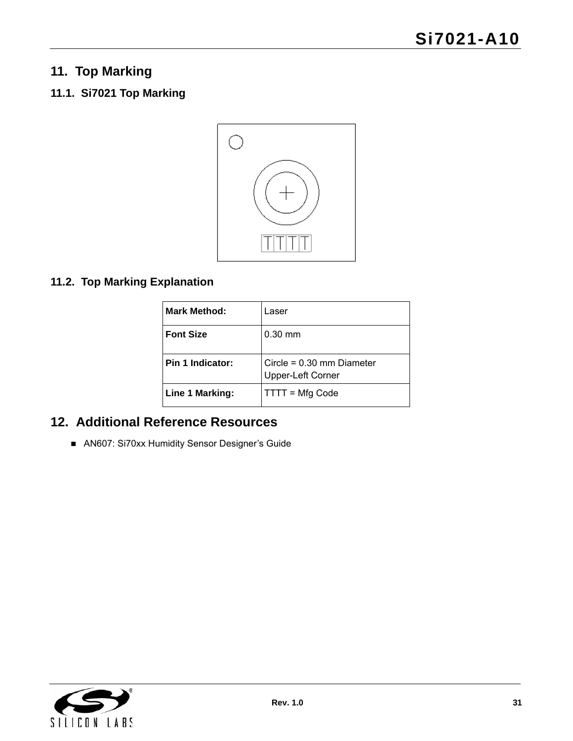## <span id="page-30-0"></span>**11. Top Marking**

## <span id="page-30-1"></span>**11.1. Si7021 Top Marking**



## <span id="page-30-2"></span>**11.2. Top Marking Explanation**

| <b>Mark Method:</b> | Laser                                            |
|---------------------|--------------------------------------------------|
| <b>Font Size</b>    | $0.30$ mm                                        |
| Pin 1 Indicator:    | Circle = $0.30$ mm Diameter<br>Upper-Left Corner |
| Line 1 Marking:     | TTTT = Mfg Code                                  |

## <span id="page-30-3"></span>**12. Additional Reference Resources**

AN607: Si70xx Humidity Sensor Designer's Guide

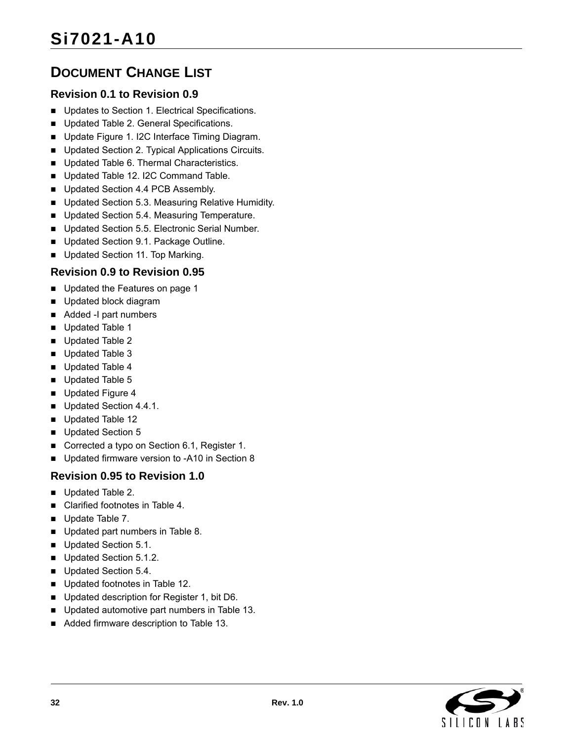## <span id="page-31-0"></span>**DOCUMENT CHANGE LIST**

## **Revision 0.1 to Revision 0.9**

- Updates to Section 1. Electrical Specifications.
- Updated Table 2. General Specifications.
- Update Figure 1. I2C Interface Timing Diagram.
- **Updated Section 2. Typical Applications Circuits.**
- Updated Table 6. Thermal Characteristics.
- Updated Table 12. I2C Command Table.
- Updated Section 4.4 PCB Assembly.
- Updated Section 5.3. Measuring Relative Humidity.
- Updated Section 5.4. Measuring Temperature.
- Updated Section 5.5. Electronic Serial Number.
- Updated Section 9.1. Package Outline.
- Updated Section 11. Top Marking.

## **Revision 0.9 to Revision 0.95**

- Updated the Features on page 1
- Updated block diagram
- Added -I part numbers
- Updated Table 1
- Updated Table 2
- Updated Table 3
- Updated Table 4
- Updated Table 5
- Updated Figure 4
- Updated Section 4.4.1.
- Updated Table 12
- Updated Section 5
- Corrected a typo on Section 6.1, Register 1.
- Updated firmware version to -A10 in Section 8

## **Revision 0.95 to Revision 1.0**

- Updated Table 2.
- Clarified footnotes in Table 4.
- Update Table 7.
- Updated part numbers in Table 8.
- Updated Section 5.1.
- Updated Section 5.1.2.
- Updated Section 5.4.
- Updated footnotes in Table 12.
- Updated description for Register 1, bit D6.
- Updated automotive part numbers in Table 13.
- Added firmware description to Table 13.

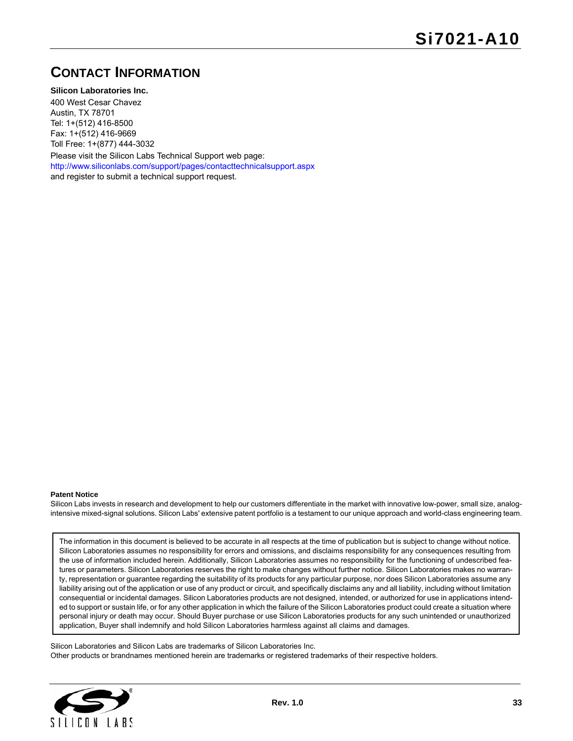## <span id="page-32-0"></span>**CONTACT INFORMATION**

**Silicon Laboratories Inc.**

400 West Cesar Chavez Austin, TX 78701 Tel: 1+(512) 416-8500 Fax: 1+(512) 416-9669 Toll Free: 1+(877) 444-3032

Please visit the Silicon Labs Technical Support web page: <http://www.siliconlabs.com/support/pages/contacttechnicalsupport.aspx> and register to submit a technical support request.

#### **Patent Notice**

Silicon Labs invests in research and development to help our customers differentiate in the market with innovative low-power, small size, analogintensive mixed-signal solutions. Silicon Labs' extensive patent portfolio is a testament to our unique approach and world-class engineering team.

The information in this document is believed to be accurate in all respects at the time of publication but is subject to change without notice. Silicon Laboratories assumes no responsibility for errors and omissions, and disclaims responsibility for any consequences resulting from the use of information included herein. Additionally, Silicon Laboratories assumes no responsibility for the functioning of undescribed features or parameters. Silicon Laboratories reserves the right to make changes without further notice. Silicon Laboratories makes no warranty, representation or guarantee regarding the suitability of its products for any particular purpose, nor does Silicon Laboratories assume any liability arising out of the application or use of any product or circuit, and specifically disclaims any and all liability, including without limitation consequential or incidental damages. Silicon Laboratories products are not designed, intended, or authorized for use in applications intended to support or sustain life, or for any other application in which the failure of the Silicon Laboratories product could create a situation where personal injury or death may occur. Should Buyer purchase or use Silicon Laboratories products for any such unintended or unauthorized application, Buyer shall indemnify and hold Silicon Laboratories harmless against all claims and damages.

Silicon Laboratories and Silicon Labs are trademarks of Silicon Laboratories Inc. Other products or brandnames mentioned herein are trademarks or registered trademarks of their respective holders.